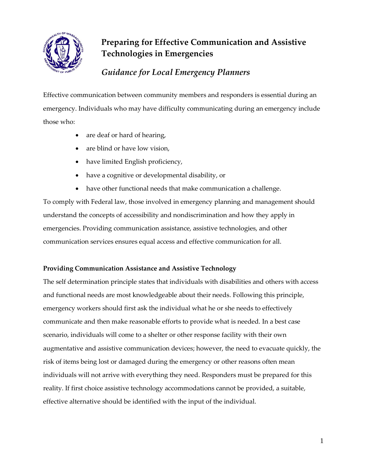

# **Preparing for Effective Communication and Assistive Technologies in Emergencies**

## *Guidance for Local Emergency Planners*

Effective communication between community members and responders is essential during an emergency. Individuals who may have difficulty communicating during an emergency include those who:

- are deaf or hard of hearing,
- are blind or have low vision,
- have limited English proficiency,
- have a cognitive or developmental disability, or
- have other functional needs that make communication a challenge.

To comply with Federal law, those involved in emergency planning and management should understand the concepts of accessibility and nondiscrimination and how they apply in emergencies. Providing communication assistance, assistive technologies, and other communication services ensures equal access and effective communication for all.

## **Providing Communication Assistance and Assistive Technology**

The self determination principle states that individuals with disabilities and others with access and functional needs are most knowledgeable about their needs. Following this principle, emergency workers should first ask the individual what he or she needs to effectively communicate and then make reasonable efforts to provide what is needed. In a best case scenario, individuals will come to a shelter or other response facility with their own augmentative and assistive communication devices; however, the need to evacuate quickly, the risk of items being lost or damaged during the emergency or other reasons often mean individuals will not arrive with everything they need. Responders must be prepared for this reality. If first choice assistive technology accommodations cannot be provided, a suitable, effective alternative should be identified with the input of the individual.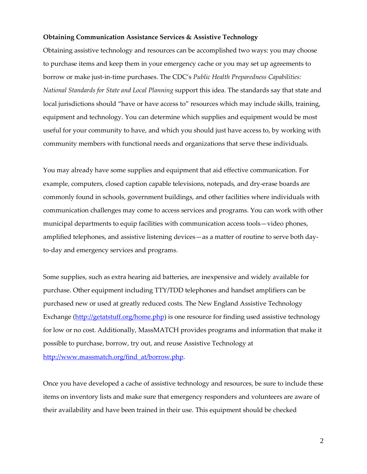#### **Obtaining Communication Assistance Services & Assistive Technology**

Obtaining assistive technology and resources can be accomplished two ways: you may choose to purchase items and keep them in your emergency cache or you may set up agreements to borrow or make just-in-time purchases. The CDC's *Public Health Preparedness Capabilities: National Standards for State and Local Planning* support this idea. The standards say that state and local jurisdictions should "have or have access to" resources which may include skills, training, equipment and technology. You can determine which supplies and equipment would be most useful for your community to have, and which you should just have access to, by working with community members with functional needs and organizations that serve these individuals.

You may already have some supplies and equipment that aid effective communication. For example, computers, closed caption capable televisions, notepads, and dry-erase boards are commonly found in schools, government buildings, and other facilities where individuals with communication challenges may come to access services and programs. You can work with other municipal departments to equip facilities with communication access tools—video phones, amplified telephones, and assistive listening devices—as a matter of routine to serve both dayto-day and emergency services and programs.

Some supplies, such as extra hearing aid batteries, are inexpensive and widely available for purchase. Other equipment including TTY/TDD telephones and handset amplifiers can be purchased new or used at greatly reduced costs. The New England Assistive Technology Exchange [\(http://getatstuff.org/home.php\)](http://getatstuff.org/home.php) is one resource for finding used assistive technology for low or no cost. Additionally, MassMATCH provides programs and information that make it possible to purchase, borrow, try out, and reuse Assistive Technology at [http://www.massmatch.org/find\\_at/borrow.php.](http://www.massmatch.org/find_at/borrow.php)

Once you have developed a cache of assistive technology and resources, be sure to include these items on inventory lists and make sure that emergency responders and volunteers are aware of their availability and have been trained in their use. This equipment should be checked

2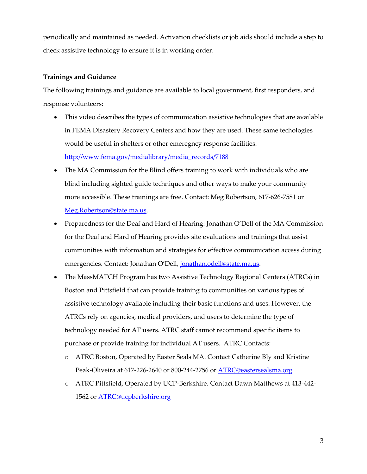periodically and maintained as needed. Activation checklists or job aids should include a step to check assistive technology to ensure it is in working order.

#### **Trainings and Guidance**

The following trainings and guidance are available to local government, first responders, and response volunteers:

- This video describes the types of communication assistive technologies that are available in FEMA Disastery Recovery Centers and how they are used. These same techologies would be useful in shelters or other emeregncy response facilities. [http://www.fema.gov/medialibrary/media\\_records/7188](http://www.fema.gov/medialibrary/media_records/7188)
- The MA Commission for the Blind offers training to work with individuals who are blind including sighted guide techniques and other ways to make your community more accessible. These trainings are free. Contact: Meg Robertson, 617-626-7581 or [Meg.Robertson@state.ma.us.](mailto:Meg.Robertson@state.ma.us)
- Preparedness for the Deaf and Hard of Hearing: Jonathan O'Dell of the MA Commission for the Deaf and Hard of Hearing provides site evaluations and trainings that assist communities with information and strategies for effective communication access during emergencies. Contact: Jonathan O'Dell, [jonathan.odell@state.ma.us.](mailto:jonathan.odell@state.ma.us)
- The MassMATCH Program has two Assistive Technology Regional Centers (ATRCs) in Boston and Pittsfield that can provide training to communities on various types of assistive technology available including their basic functions and uses. However, the ATRCs rely on agencies, medical providers, and users to determine the type of technology needed for AT users. ATRC staff cannot recommend specific items to purchase or provide training for individual AT users. ATRC Contacts:
	- o ATRC Boston, Operated by Easter Seals MA. Contact Catherine Bly and Kristine Peak-Oliveira at 617-226-2640 or 800-244-2756 or **ATRC@eastersealsma.org**
	- o ATRC Pittsfield, Operated by UCP-Berkshire. Contact Dawn Matthews at 413-442- 1562 or **ATRC@ucpberkshire.org**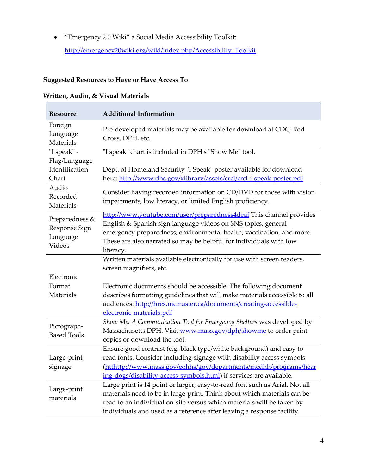"Emergency 2.0 Wiki" a Social Media Accessibility Toolkit:

[http://emergency20wiki.org/wiki/index.php/Accessibility\\_Toolkit](http://emergency20wiki.org/wiki/index.php/Accessibility_Toolkit)

## **Suggested Resources to Have or Have Access To**

### **Written, Audio, & Visual Materials**

| Resource                                              | <b>Additional Information</b>                                                                                                                                                                                                                                                                             |  |
|-------------------------------------------------------|-----------------------------------------------------------------------------------------------------------------------------------------------------------------------------------------------------------------------------------------------------------------------------------------------------------|--|
| Foreign<br>Language<br>Materials                      | Pre-developed materials may be available for download at CDC, Red<br>Cross, DPH, etc.                                                                                                                                                                                                                     |  |
| "I speak" -                                           | "I speak" chart is included in DPH's "Show Me" tool.                                                                                                                                                                                                                                                      |  |
| Flag/Language<br>Identification<br>Chart              | Dept. of Homeland Security "I Speak" poster available for download<br>here: http://www.dhs.gov/xlibrary/assets/crcl/crcl-i-speak-poster.pdf                                                                                                                                                               |  |
| Audio<br>Recorded<br>Materials                        | Consider having recorded information on CD/DVD for those with vision<br>impairments, low literacy, or limited English proficiency.                                                                                                                                                                        |  |
| Preparedness &<br>Response Sign<br>Language<br>Videos | http://www.youtube.com/user/preparedness4deaf This channel provides<br>English & Spanish sign language videos on SNS topics, general<br>emergency preparedness, environmental health, vaccination, and more.<br>These are also narrated so may be helpful for individuals with low<br>literacy.           |  |
| Electronic                                            | Written materials available electronically for use with screen readers,<br>screen magnifiers, etc.                                                                                                                                                                                                        |  |
| Format<br>Materials                                   | Electronic documents should be accessible. The following document<br>describes formatting guidelines that will make materials accessible to all<br>audiences: http://hres.mcmaster.ca/documents/creating-accessible-<br>electronic-materials.pdf                                                          |  |
| Pictograph-<br><b>Based Tools</b>                     | Show Me: A Communication Tool for Emergency Shelters was developed by<br>Massachusetts DPH. Visit www.mass.gov/dph/showme to order print<br>copies or download the tool.                                                                                                                                  |  |
| Large-print<br>signage                                | Ensure good contrast (e.g. black type/white background) and easy to<br>read fonts. Consider including signage with disability access symbols<br>(htthttp://www.mass.gov/eohhs/gov/departments/mcdhh/programs/hear<br>ing-dogs/disability-access-symbols.html) if services are available.                  |  |
| Large-print<br>materials                              | Large print is 14 point or larger, easy-to-read font such as Arial. Not all<br>materials need to be in large-print. Think about which materials can be<br>read to an individual on-site versus which materials will be taken by<br>individuals and used as a reference after leaving a response facility. |  |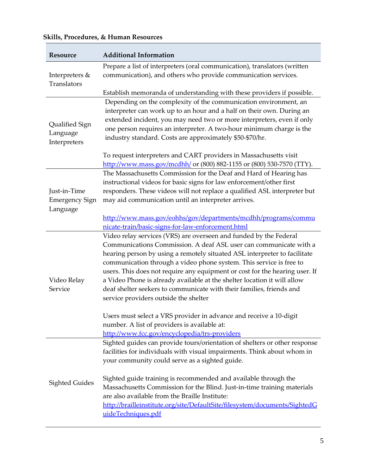| Resource                                          | <b>Additional Information</b>                                                                                                                                                                                                                                                                                                                                                                                                                                                                                                                                          |
|---------------------------------------------------|------------------------------------------------------------------------------------------------------------------------------------------------------------------------------------------------------------------------------------------------------------------------------------------------------------------------------------------------------------------------------------------------------------------------------------------------------------------------------------------------------------------------------------------------------------------------|
| Interpreters &<br>Translators                     | Prepare a list of interpreters (oral communication), translators (written<br>communication), and others who provide communication services.                                                                                                                                                                                                                                                                                                                                                                                                                            |
|                                                   | Establish memoranda of understanding with these providers if possible.                                                                                                                                                                                                                                                                                                                                                                                                                                                                                                 |
| Qualified Sign<br>Language<br>Interpreters        | Depending on the complexity of the communication environment, an<br>interpreter can work up to an hour and a half on their own. During an<br>extended incident, you may need two or more interpreters, even if only<br>one person requires an interpreter. A two-hour minimum charge is the<br>industry standard. Costs are approximately \$50-\$70/hr.                                                                                                                                                                                                                |
|                                                   | To request interpreters and CART providers in Massachusetts visit<br>http://www.mass.gov/mcdhh/ or (800) 882-1155 or (800) 530-7570 (TTY).                                                                                                                                                                                                                                                                                                                                                                                                                             |
| Just-in-Time<br><b>Emergency Sign</b><br>Language | The Massachusetts Commission for the Deaf and Hard of Hearing has<br>instructional videos for basic signs for law enforcement/other first<br>responders. These videos will not replace a qualified ASL interpreter but<br>may aid communication until an interpreter arrives.                                                                                                                                                                                                                                                                                          |
|                                                   | http://www.mass.gov/eohhs/gov/departments/mcdhh/programs/commu                                                                                                                                                                                                                                                                                                                                                                                                                                                                                                         |
|                                                   | nicate-train/basic-signs-for-law-enforcement.html                                                                                                                                                                                                                                                                                                                                                                                                                                                                                                                      |
| Video Relay<br>Service                            | Video relay services (VRS) are overseen and funded by the Federal<br>Communications Commission. A deaf ASL user can communicate with a<br>hearing person by using a remotely situated ASL interpreter to facilitate<br>communication through a video phone system. This service is free to<br>users. This does not require any equipment or cost for the hearing user. If<br>a Video Phone is already available at the shelter location it will allow<br>deaf shelter seekers to communicate with their families, friends and<br>service providers outside the shelter |
|                                                   | Users must select a VRS provider in advance and receive a 10-digit<br>number. A list of providers is available at:<br>http://www.fcc.gov/encyclopedia/trs-providers                                                                                                                                                                                                                                                                                                                                                                                                    |
|                                                   | Sighted guides can provide tours/orientation of shelters or other response<br>facilities for individuals with visual impairments. Think about whom in<br>your community could serve as a sighted guide.                                                                                                                                                                                                                                                                                                                                                                |
| <b>Sighted Guides</b>                             | Sighted guide training is recommended and available through the<br>Massachusetts Commission for the Blind. Just-in-time training materials<br>are also available from the Braille Institute:<br>http://brailleinstitute.org/site/DefaultSite/filesystem/documents/SightedG<br>uideTechniques.pdf                                                                                                                                                                                                                                                                       |

### **Skills, Procedures, & Human Resources**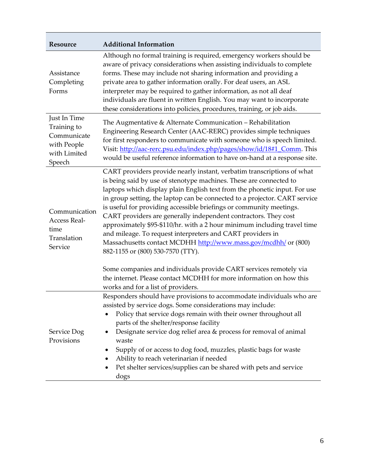| <b>Additional Information</b>                                                                                                                                                                                                                                                                                                                                                                                                                                                                                                                                                                                                                                                                                                                                                                                                                   |
|-------------------------------------------------------------------------------------------------------------------------------------------------------------------------------------------------------------------------------------------------------------------------------------------------------------------------------------------------------------------------------------------------------------------------------------------------------------------------------------------------------------------------------------------------------------------------------------------------------------------------------------------------------------------------------------------------------------------------------------------------------------------------------------------------------------------------------------------------|
| Although no formal training is required, emergency workers should be<br>aware of privacy considerations when assisting individuals to complete<br>forms. These may include not sharing information and providing a<br>private area to gather information orally. For deaf users, an ASL<br>interpreter may be required to gather information, as not all deaf<br>individuals are fluent in written English. You may want to incorporate<br>these considerations into policies, procedures, training, or job aids.                                                                                                                                                                                                                                                                                                                               |
| The Augmentative & Alternate Communication - Rehabilitation<br>Engineering Research Center (AAC-RERC) provides simple techniques<br>for first responders to communicate with someone who is speech limited.<br>Visit: http://aac-rerc.psu.edu/index.php/pages/show/id/18#1_Comm. This<br>would be useful reference information to have on-hand at a response site.                                                                                                                                                                                                                                                                                                                                                                                                                                                                              |
| CART providers provide nearly instant, verbatim transcriptions of what<br>is being said by use of stenotype machines. These are connected to<br>laptops which display plain English text from the phonetic input. For use<br>in group setting, the laptop can be connected to a projector. CART service<br>is useful for providing accessible briefings or community meetings.<br>CART providers are generally independent contractors. They cost<br>approximately \$95-\$110/hr. with a 2 hour minimum including travel time<br>and mileage. To request interpreters and CART providers in<br>Massachusetts contact MCDHH http://www.mass.gov/mcdhh/ or (800)<br>882-1155 or (800) 530-7570 (TTY).<br>Some companies and individuals provide CART services remotely via<br>the internet. Please contact MCDHH for more information on how this |
| works and for a list of providers.<br>Responders should have provisions to accommodate individuals who are<br>assisted by service dogs. Some considerations may include:<br>Policy that service dogs remain with their owner throughout all<br>parts of the shelter/response facility<br>Designate service dog relief area & process for removal of animal<br>waste<br>Supply of or access to dog food, muzzles, plastic bags for waste<br>Ability to reach veterinarian if needed<br>Pet shelter services/supplies can be shared with pets and service                                                                                                                                                                                                                                                                                         |
|                                                                                                                                                                                                                                                                                                                                                                                                                                                                                                                                                                                                                                                                                                                                                                                                                                                 |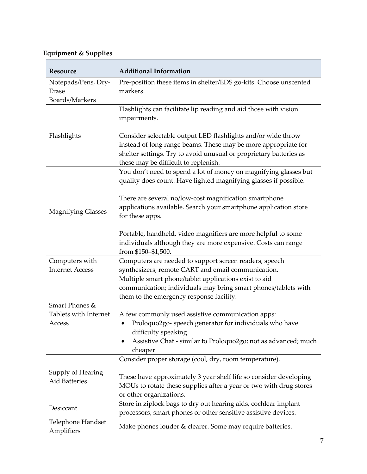## **Equipment & Supplies**

| Resource                                  | <b>Additional Information</b>                                                                                                                                                                                                                |
|-------------------------------------------|----------------------------------------------------------------------------------------------------------------------------------------------------------------------------------------------------------------------------------------------|
| Notepads/Pens, Dry-<br>Erase              | Pre-position these items in shelter/EDS go-kits. Choose unscented<br>markers.                                                                                                                                                                |
| Boards/Markers                            |                                                                                                                                                                                                                                              |
|                                           | Flashlights can facilitate lip reading and aid those with vision<br>impairments.                                                                                                                                                             |
| Flashlights                               | Consider selectable output LED flashlights and/or wide throw<br>instead of long range beams. These may be more appropriate for<br>shelter settings. Try to avoid unusual or proprietary batteries as<br>these may be difficult to replenish. |
|                                           | You don't need to spend a lot of money on magnifying glasses but<br>quality does count. Have lighted magnifying glasses if possible.                                                                                                         |
| <b>Magnifying Glasses</b>                 | There are several no/low-cost magnification smartphone<br>applications available. Search your smartphone application store<br>for these apps.                                                                                                |
|                                           | Portable, handheld, video magnifiers are more helpful to some<br>individuals although they are more expensive. Costs can range<br>from \$150-\$1,500.                                                                                        |
| Computers with                            | Computers are needed to support screen readers, speech                                                                                                                                                                                       |
| <b>Internet Access</b>                    | synthesizers, remote CART and email communication.                                                                                                                                                                                           |
| Smart Phones &                            | Multiple smart phone/tablet applications exist to aid<br>communication; individuals may bring smart phones/tablets with<br>them to the emergency response facility.                                                                          |
| Tablets with Internet                     | A few commonly used assistive communication apps:                                                                                                                                                                                            |
| Access                                    | Proloquo2go- speech generator for individuals who have<br>difficulty speaking                                                                                                                                                                |
|                                           | Assistive Chat - similar to Proloquo2go; not as advanced; much                                                                                                                                                                               |
|                                           | cheaper<br>Consider proper storage (cool, dry, room temperature).                                                                                                                                                                            |
| Supply of Hearing<br><b>Aid Batteries</b> | These have approximately 3 year shelf life so consider developing<br>MOUs to rotate these supplies after a year or two with drug stores<br>or other organizations.                                                                           |
| Desiccant                                 | Store in ziplock bags to dry out hearing aids, cochlear implant<br>processors, smart phones or other sensitive assistive devices.                                                                                                            |
| Telephone Handset<br>Amplifiers           | Make phones louder & clearer. Some may require batteries.                                                                                                                                                                                    |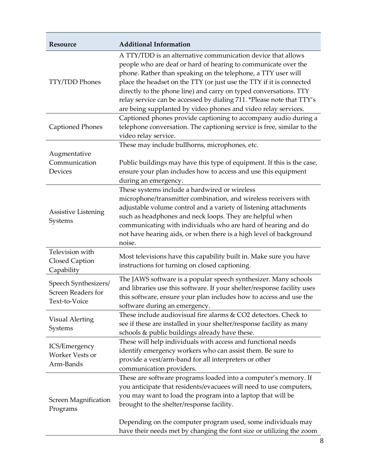| Resource                                                           | <b>Additional Information</b>                                                                                                                                                                                                                                                                                                                                                                                                                                                            |
|--------------------------------------------------------------------|------------------------------------------------------------------------------------------------------------------------------------------------------------------------------------------------------------------------------------------------------------------------------------------------------------------------------------------------------------------------------------------------------------------------------------------------------------------------------------------|
| <b>TTY/TDD Phones</b>                                              | A TTY/TDD is an alternative communication device that allows<br>people who are deaf or hard of hearing to communicate over the<br>phone. Rather than speaking on the telephone, a TTY user will<br>place the headset on the TTY (or just use the TTY if it is connected<br>directly to the phone line) and carry on typed conversations. TTY<br>relay service can be accessed by dialing 711. * Please note that TTY's<br>are being supplanted by video phones and video relay services. |
| <b>Captioned Phones</b>                                            | Captioned phones provide captioning to accompany audio during a<br>telephone conversation. The captioning service is free, similar to the<br>video relay service.                                                                                                                                                                                                                                                                                                                        |
| Augmentative<br>Communication<br>Devices                           | These may include bullhorns, microphones, etc.<br>Public buildings may have this type of equipment. If this is the case,<br>ensure your plan includes how to access and use this equipment<br>during an emergency.                                                                                                                                                                                                                                                                       |
| <b>Assistive Listening</b><br>Systems                              | These systems include a hardwired or wireless<br>microphone/transmitter combination, and wireless receivers with<br>adjustable volume control and a variety of listening attachments<br>such as headphones and neck loops. They are helpful when<br>communicating with individuals who are hard of hearing and do<br>not have hearing aids, or when there is a high level of background<br>noise.                                                                                        |
| Television with<br>Closed Caption<br>Capability                    | Most televisions have this capability built in. Make sure you have<br>instructions for turning on closed captioning.                                                                                                                                                                                                                                                                                                                                                                     |
| Speech Synthesizers/<br><b>Screen Readers for</b><br>Text-to-Voice | The JAWS software is a popular speech synthesizer. Many schools<br>and libraries use this software. If your shelter/response facility uses<br>this software, ensure your plan includes how to access and use the<br>software during an emergency.                                                                                                                                                                                                                                        |
| <b>Visual Alerting</b><br>Systems                                  | These include audiovisual fire alarms & CO2 detectors. Check to<br>see if these are installed in your shelter/response facility as many<br>schools & public buildings already have these.                                                                                                                                                                                                                                                                                                |
| ICS/Emergency<br>Worker Vests or<br>Arm-Bands                      | These will help individuals with access and functional needs<br>identify emergency workers who can assist them. Be sure to<br>provide a vest/arm-band for all interpreters or other<br>communication providers.                                                                                                                                                                                                                                                                          |
| Screen Magnification<br>Programs                                   | These are software programs loaded into a computer's memory. If<br>you anticipate that residents/evacuees will need to use computers,<br>you may want to load the program into a laptop that will be<br>brought to the shelter/response facility.<br>Depending on the computer program used, some individuals may<br>have their needs met by changing the font size or utilizing the zoom                                                                                                |